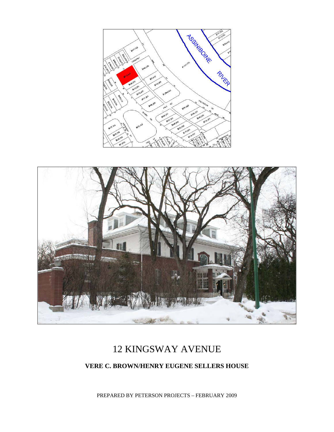



# 12 KINGSWAY AVENUE

#### **VERE C. BROWN/HENRY EUGENE SELLERS HOUSE**

PREPARED BY PETERSON PROJECTS – FEBRUARY 2009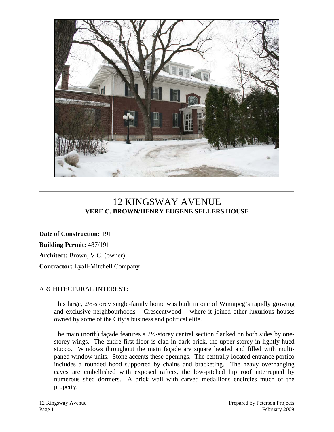

## 12 KINGSWAY AVENUE **VERE C. BROWN/HENRY EUGENE SELLERS HOUSE**

**Date of Construction:** 1911 **Building Permit:** 487/1911 **Architect:** Brown, V.C. (owner) **Contractor:** Lyall-Mitchell Company

#### ARCHITECTURAL INTEREST:

This large, 2½-storey single-family home was built in one of Winnipeg's rapidly growing and exclusive neighbourhoods – Crescentwood – where it joined other luxurious houses owned by some of the City's business and political elite.

The main (north) façade features a 2½-storey central section flanked on both sides by onestorey wings. The entire first floor is clad in dark brick, the upper storey in lightly hued stucco. Windows throughout the main façade are square headed and filled with multipaned window units. Stone accents these openings. The centrally located entrance portico includes a rounded hood supported by chains and bracketing. The heavy overhanging eaves are embellished with exposed rafters, the low-pitched hip roof interrupted by numerous shed dormers. A brick wall with carved medallions encircles much of the property.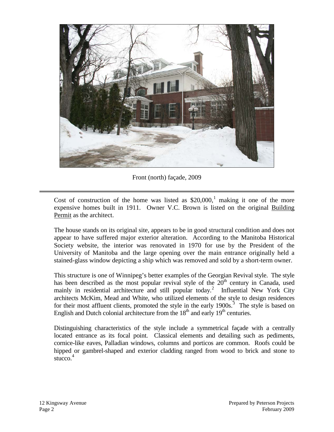

Front (north) façade, 2009

Cost of construction of the home was listed as  $$20,000$ , making it one of the more expensive homes built in 1911. Owner V.C. Brown is listed on the original Building Permit as the architect.

The house stands on its original site, appears to be in good structural condition and does not appear to have suffered major exterior alteration. According to the Manitoba Historical Society website, the interior was renovated in 1970 for use by the President of the University of Manitoba and the large opening over the main entrance originally held a stained-glass window depicting a ship which was removed and sold by a short-term owner.

This structure is one of Winnipeg's better examples of the Georgian Revival style. The style has been described as the most popular revival style of the  $20<sup>th</sup>$  century in Canada, used mainly in residential architecture and still popular today.<sup>[2](#page-5-1)</sup> Influential New York City architects McKim, Mead and White, who utilized elements of the style to design residences for their most affluent clients, promoted the style in the early  $1900s$ .<sup>[3](#page-5-2)</sup> The style is based on English and Dutch colonial architecture from the  $18<sup>th</sup>$  and early  $19<sup>th</sup>$  centuries.

Distinguishing characteristics of the style include a symmetrical façade with a centrally located entrance as its focal point. Classical elements and detailing such as pediments, cornice-like eaves, Palladian windows, columns and porticos are common. Roofs could be hipped or gambrel-shaped and exterior cladding ranged from wood to brick and stone to stucco. $4$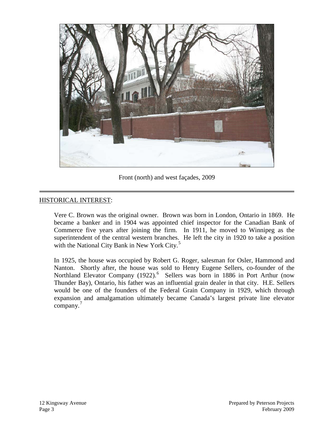

Front (north) and west façades, 2009

#### HISTORICAL INTEREST:

Vere C. Brown was the original owner. Brown was born in London, Ontario in 1869. He became a banker and in 1904 was appointed chief inspector for the Canadian Bank of Commerce five years after joining the firm. In 1911, he moved to Winnipeg as the superintendent of the central western branches. He left the city in 1920 to take a position with the National City Bank in New York City.<sup>[5](#page-5-4)</sup>

In 1925, the house was occupied by Robert G. Roger, salesman for Osler, Hammond and Nanton. Shortly after, the house was sold to Henry Eugene Sellers, co-founder of the Northland Elevator Company (1922).<sup>[6](#page-5-5)</sup> Sellers was born in 1886 in Port Arthur (now Thunder Bay), Ontario, his father was an influential grain dealer in that city. H.E. Sellers would be one of the founders of the Federal Grain Company in 1929, which through expansion and amalgamation ultimately became Canada's largest private line elevator company.<sup>[7](#page-5-6)</sup>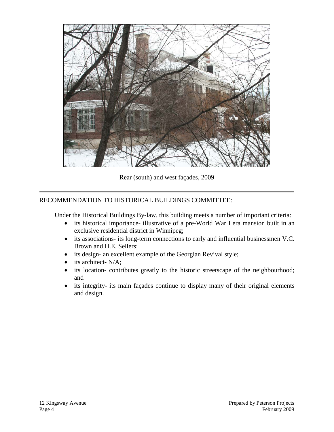

Rear (south) and west façades, 2009

#### RECOMMENDATION TO HISTORICAL BUILDINGS COMMITTEE:

Under the Historical Buildings By-law, this building meets a number of important criteria:

- its historical importance- illustrative of a pre-World War I era mansion built in an exclusive residential district in Winnipeg;
- its associations- its long-term connections to early and influential businessmen V.C. Brown and H.E. Sellers;
- its design- an excellent example of the Georgian Revival style;
- its architect- N/A;
- its location- contributes greatly to the historic streetscape of the neighbourhood; and
- its integrity- its main façades continue to display many of their original elements and design.